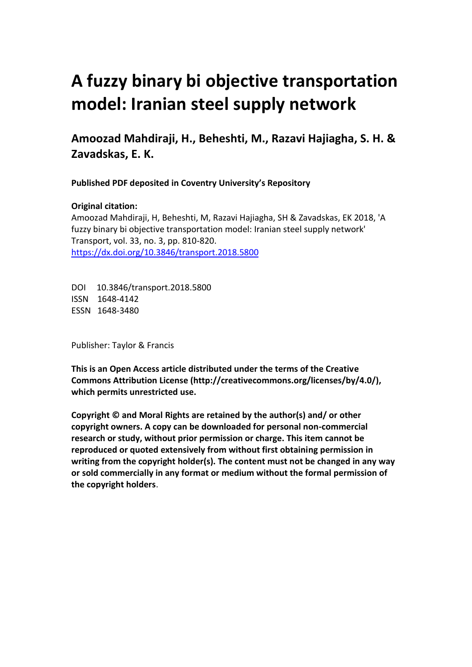# **A fuzzy binary bi objective transportation model: Iranian steel supply network**

**Amoozad Mahdiraji, H., Beheshti, M., Razavi Hajiagha, S. H. & Zavadskas, E. K.** 

 **Published PDF deposited in Coventry University's Repository** 

# **Original citation:**

 Amoozad Mahdiraji, H, Beheshti, M, Razavi Hajiagha, SH & Zavadskas, EK 2018, 'A fuzzy binary bi objective transportation model: Iranian steel supply network' Transport, vol. 33, no. 3, pp. 810-820. https://dx.doi.org/10.3846/transport.2018.5800

**DOI** 10.3846/transport.2018.5800 ISSN 1648-4142 ESSN 1648-3480

Publisher: Taylor & Francis

 **This is an Open Access article distributed under the terms of the Creative Commons Attribution License (http://creativecommons.org/licenses/by/4.0/), which permits unrestricted use.** 

 **Copyright © and Moral Rights are retained by the author(s) and/ or other copyright owners. A copy can be downloaded for personal non-commercial research or study, without prior permission or charge. This item cannot be reproduced or quoted extensively from without first obtaining permission in writing from the copyright holder(s). The content must not be changed in any way or sold commercially in any format or medium without the formal permission of the copyright holders**.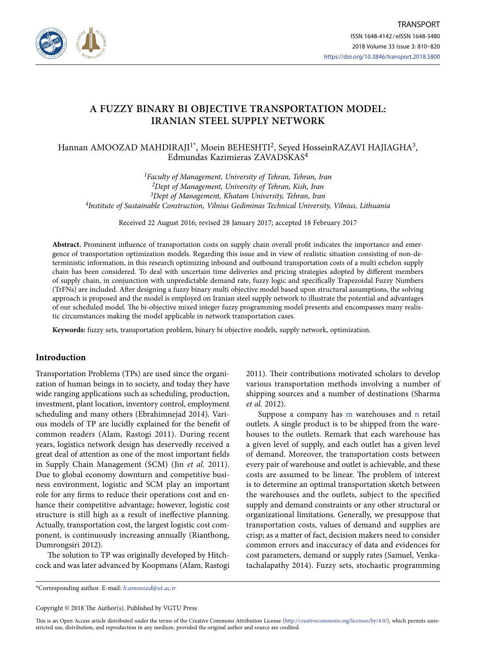

# **IRANIAN STEEL SUPPLY NETWORK A FUZZY BINARY BI OBJECTIVE TRANSPORTATION MODEL:**

#### Hannan AMOOZAD MAHDIRAJI<sup>1\*</sup>, Moein BEHESHTI<sup>2</sup>, Seyed HosseinRAZAVI HAJIAGHA<sup>3</sup>, Edmundas Kazimieras ZAVADSKAS4

*1Faculty of Management, University of Tehran, Tehran, Iran 2Dept of Management, University of Tehran, Kish, Iran 3Dept of Management, Khatam University, Tehran, Iran 4Institute of Sustainable Construction, Vilnius Gediminas Technical University, Vilnius, Lithuania* 

Received 22 August 2016; revised 28 January 2017; accepted 18 February 2017

**Abstract.** Prominent influence of transportation costs on supply chain overall profit indicates the importance and emergence of transportation optimization models. Regarding this issue and in view of realistic situation consisting of non-deterministic information, in this research optimizing inbound and outbound transportation costs of a multi echelon supply chain has been considered. To deal with uncertain time deliveries and pricing strategies adopted by different members of supply chain, in conjunction with unpredictable demand rate, fuzzy logic and specifically Trapezoidal Fuzzy Numbers (TrFNs) are included. After designing a fuzzy binary multi objective model based upon structural assumptions, the solving approach is proposed and the model is employed on Iranian steel supply network to illustrate the potential and advantages of our scheduled model. The bi-objective mixed integer fuzzy programming model presents and encompasses many realistic circumstances making the model applicable in network transportation cases.

**Keywords:** fuzzy sets, transportation problem, binary bi objective models, supply network, optimization.

#### **Introduction**

Transportation Problems (TPs) are used since the organization of human beings in to society, and today they have wide ranging applications such as scheduling, production, investment, plant location, inventory control, employment scheduling and many others (Ebrahimnejad 2014). Various models of TP are lucidly explained for the benefit of common readers (Alam, Rastogi 2011). During recent years, logistics network design has deservedly received a great deal of attention as one of the most important fields in Supply Chain Management (SCM) (Jin *et al.* 2011). Due to global economy downturn and competitive business environment, logistic and SCM play an important role for any firms to reduce their operations cost and enhance their competitive advantage; however, logistic cost structure is still high as a result of ineffective planning. Actually, transportation cost, the largest logistic cost component, is continuously increasing annually (Rianthong, Dumrongsiri 2012).

The solution to TP was originally developed by Hitchcock and was later advanced by Koopmans (Alam, Rastogi 2011). Their contributions motivated scholars to develop various transportation methods involving a number of shipping sources and a number of destinations (Sharma *et al.* 2012).

 tachalapathy 2014). Fuzzy sets, stochastic programming Suppose a company has m warehouses and n retail outlets. A single product is to be shipped from the warehouses to the outlets. Remark that each warehouse has a given level of supply, and each outlet has a given level of demand. Moreover, the transportation costs between every pair of warehouse and outlet is achievable, and these costs are assumed to be linear. The problem of interest is to determine an optimal transportation sketch between the warehouses and the outlets, subject to the specified supply and demand constraints or any other structural or organizational limitations. Generally, we presuppose that transportation costs, values of demand and supplies are crisp; as a matter of fact, decision makers need to consider common errors and inaccuracy of data and evidences for cost parameters, demand or supply rates (Samuel, Venka-

\*Corresponding author. E-mail: *h.amoozad@ut.ac.ir* 

Copyright © 2018 The Author(s). Published by VGTU Press

This is an Open Access article distributed under the terms of the Creative Commons Attribution License [\(http://creativecommons.org/licenses/by/4.0/](http://creativecommons.org/licenses/by/4.0/)), which permits unrestricted use, distribution, and reproduction in any medium, provided the original author and source are credited.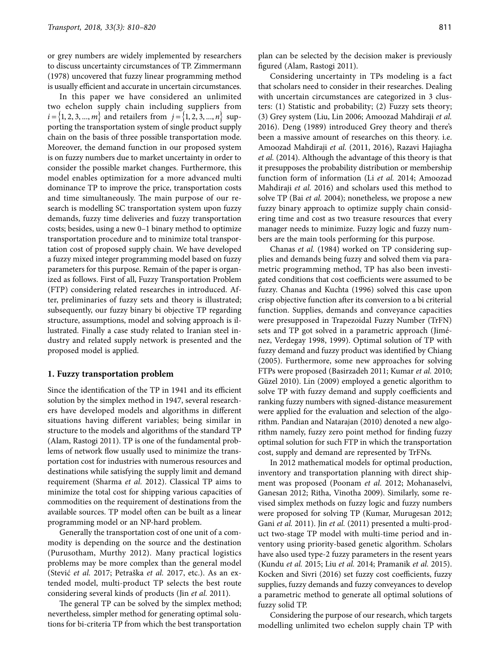or grey numbers are widely implemented by researchers to discuss uncertainty circumstances of TP. Zimmermann (1978) uncovered that fuzzy linear programming method is usually efficient and accurate in uncertain circumstances.

 a fuzzy mixed integer programming model based on fuzzy In this paper we have considered an unlimited two echelon supply chain including suppliers from  $i = \{1, 2, 3, ..., m\}$  and retailers from  $j = \{1, 2, 3, ..., n\}$  supporting the transportation system of single product supply chain on the basis of three possible transportation mode. Moreover, the demand function in our proposed system is on fuzzy numbers due to market uncertainty in order to consider the possible market changes. Furthermore, this model enables optimization for a more advanced multi dominance TP to improve the price, transportation costs and time simultaneously. The main purpose of our research is modelling SC transportation system upon fuzzy demands, fuzzy time deliveries and fuzzy transportation costs; besides, using a new 0–1 binary method to optimize transportation procedure and to minimize total transportation cost of proposed supply chain. We have developed parameters for this purpose. Remain of the paper is organized as follows. First of all, Fuzzy Transportation Problem (FTP) considering related researches in introduced. After, preliminaries of fuzzy sets and theory is illustrated; subsequently, our fuzzy binary bi objective TP regarding structure, assumptions, model and solving approach is illustrated. Finally a case study related to Iranian steel industry and related supply network is presented and the proposed model is applied.

#### **1. Fuzzy transportation problem**

 structure to the models and algorithms of the standard TP Since the identification of the TP in 1941 and its efficient solution by the simplex method in 1947, several researchers have developed models and algorithms in different situations having different variables; being similar in (Alam, Rastogi 2011). TP is one of the fundamental problems of network flow usually used to minimize the transportation cost for industries with numerous resources and destinations while satisfying the supply limit and demand requirement (Sharma *et al.* 2012). Classical TP aims to minimize the total cost for shipping various capacities of commodities on the requirement of destinations from the available sources. TP model often can be built as a linear programming model or an NP-hard problem.

Generally the transportation cost of one unit of a commodity is depending on the source and the destination (Purusotham, Murthy 2012). Many practical logistics problems may be more complex than the general model (Stević *et al.* 2017; Petraška *et al.* 2017, etc.). As an extended model, multi-product TP selects the best route considering several kinds of products (Jin *et al.* 2011).

The general TP can be solved by the simplex method; nevertheless, simpler method for generating optimal solutions for bi-criteria TP from which the best transportation

plan can be selected by the decision maker is previously figured (Alam, Rastogi 2011).

Considering uncertainty in TPs modeling is a fact that scholars need to consider in their researches. Dealing with uncertain circumstances are categorized in 3 clusters: (1) Statistic and probability; (2) Fuzzy sets theory; (3) Grey system (Liu, Lin 2006; Amoozad Mahdiraji *et al.*  2016). Deng (1989) introduced Grey theory and there's been a massive amount of researches on this theory. i.e. Amoozad Mahdiraji *et al.* (2011, 2016), Razavi Hajiagha *et al.* (2014). Although the advantage of this theory is that it presupposes the probability distribution or membership function form of information (Li *et al.* 2014; Amoozad Mahdiraji *et al.* 2016) and scholars used this method to solve TP (Bai *et al.* 2004); nonetheless, we propose a new fuzzy binary approach to optimize supply chain considering time and cost as two treasure resources that every manager needs to minimize. Fuzzy logic and fuzzy numbers are the main tools performing for this purpose.

Chanas *et al.* (1984) worked on TP considering supplies and demands being fuzzy and solved them via parametric programming method, TP has also been investigated conditions that cost coefficients were assumed to be fuzzy. Chanas and Kuchta (1996) solved this case upon crisp objective function after its conversion to a bi criterial function. Supplies, demands and conveyance capacities were presupposed in Trapezoidal Fuzzy Number (TrFN) sets and TP got solved in a parametric approach (Jiménez, Verdegay 1998, 1999). Optimal solution of TP with fuzzy demand and fuzzy product was identified by Chiang (2005). Furthermore, some new approaches for solving FTPs were proposed (Basirzadeh 2011; Kumar *et al.* 2010; Güzel 2010). Lin (2009) employed a genetic algorithm to solve TP with fuzzy demand and supply coefficients and ranking fuzzy numbers with signed-distance measurement were applied for the evaluation and selection of the algorithm. Pandian and Natarajan (2010) denoted a new algorithm namely, fuzzy zero point method for finding fuzzy optimal solution for such FTP in which the transportation cost, supply and demand are represented by TrFNs.

In 2012 mathematical models for optimal production, inventory and transportation planning with direct shipment was proposed (Poonam *et al.* 2012; Mohanaselvi, Ganesan 2012; Ritha, Vinotha 2009). Similarly, some revised simplex methods on fuzzy logic and fuzzy numbers were proposed for solving TP (Kumar, Murugesan 2012; Gani *et al.* 2011). Jin *et al.* (2011) presented a multi-product two-stage TP model with multi-time period and inventory using priority-based genetic algorithm. Scholars have also used type-2 fuzzy parameters in the resent years (Kundu *et al.* 2015; Liu *et al.* 2014; Pramanik *et al.* 2015). Kocken and Sivri (2016) set fuzzy cost coefficients, fuzzy supplies, fuzzy demands and fuzzy conveyances to develop a parametric method to generate all optimal solutions of fuzzy solid TP.

Considering the purpose of our research, which targets modelling unlimited two echelon supply chain TP with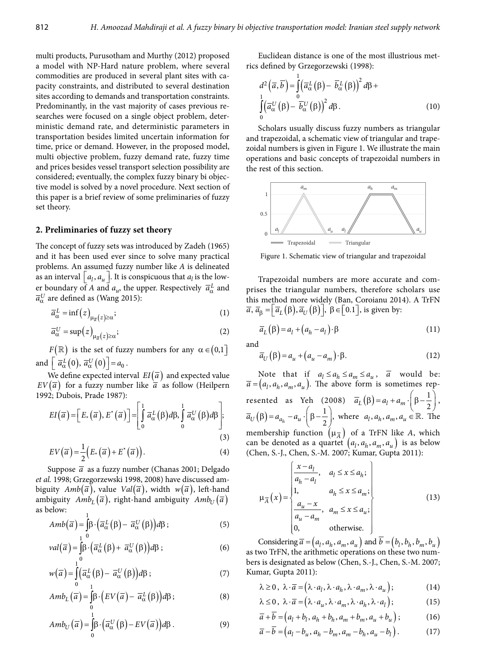multi products, Purusotham and Murthy (2012) proposed a model with NP-Hard nature problem, where several commodities are produced in several plant sites with capacity constraints, and distributed to several destination sites according to demands and transportation constraints. Predominantly, in the vast majority of cases previous researches were focused on a single object problem, deterministic demand rate, and deterministic parameters in transportation besides limited uncertain information for time, price or demand. However, in the proposed model, multi objective problem, fuzzy demand rate, fuzzy time and prices besides vessel transport selection possibility are considered; eventually, the complex fuzzy binary bi objective model is solved by a novel procedure. Next section of this paper is a brief review of some preliminaries of fuzzy set theory.

## **2. Preliminaries of fuzzy set theory**

The concept of fuzzy sets was introduced by Zadeh (1965) and it has been used ever since to solve many practical problems. An assumed fuzzy number like *A* is delineated as an interval  $\lfloor a_l, a_u \rfloor$ . It is conspicuous that  $a_l$  is the low er boundary of *A* and  $a_{\mu}$ , the upper. Respectively  $\bar{a}_{\alpha}^L$  and  $\overline{a}_{\alpha}^{U}$  are defined as (Wang 2015):

$$
\overline{a}_{\alpha}^{L} = \inf(z)_{\mu_{\overline{a}}(z) \ge \alpha};\tag{1}
$$

$$
\overline{a}_{\alpha}^{U} = \sup(z)_{\mu_{\overline{a}}(z) \ge \alpha};\tag{2}
$$

*F*( $\mathbb{R}$ ) is the set of fuzzy numbers for any  $\alpha \in (0,1]$ and  $\left[ \overline{a}_{\alpha}^{L}(0), \overline{a}_{\alpha}^{U}(0) \right] = a_{0}.$ 

We define expected interval  $EI(\overline{a})$  and expected value  $EV(\bar{a})$  for a fuzzy number like  $\bar{a}$  as follow (Heilpern 1992; Dubois, Prade 1987):

$$
EI(\overline{a}) = [E_*(\overline{a}), E^*(\overline{a})] = \left[ \int_0^1 \overline{a}_{\alpha}^L(\beta) d\beta, \int_0^1 \overline{a}_{\alpha}^U(\beta) d\beta \right];
$$
\n(3)

$$
EV(\overline{a}) = \frac{1}{2} \Big( E_*\left(\overline{a}\right) + E^*\left(\overline{a}\right) \Big). \tag{4}
$$

Suppose  $\overline{a}$  as a fuzzy number (Chanas 2001; Delgado *et al.* 1998; Grzegorzewski 1998, 2008) have discussed ambiguity  $Amb(\overline{a})$ , value  $Val(\overline{a})$ , width  $w(\overline{a})$ , left-hand ambiguity  $Amb_L(\overline{a})$ , right-hand ambiguity  $Amb_U(\overline{a})$ as below:

$$
Amb(\overline{a}) = \int_{1}^{1} \beta \cdot (\overline{a}_{\alpha}^{L}(\beta) - \overline{a}_{\alpha}^{U}(\beta)) d\beta ; \qquad (5)
$$

$$
val(\overline{a}) = \int_{0}^{\overline{b}} \beta \cdot (\overline{a}_{\alpha}^{L}(\beta) + \overline{a}_{\alpha}^{U}(\beta)) d\beta ;
$$
 (6)

$$
w(\overline{a}) = \int_{0}^{1} \left(\overline{a}_{\alpha}^{L}(\beta) - \overline{a}_{\alpha}^{U}(\beta)\right) d\beta ;
$$
 (7)

$$
Amb_L(\overline{a}) = \int_0^1 \beta \cdot \left( EV(\overline{a}) - \overline{a}_{\alpha}^L(\beta) \right) d\beta ; \qquad (8)
$$

$$
Amb_U(\overline{a}) = \int_0^1 \beta \cdot (\overline{a}_{\alpha}^U(\beta) - EV(\overline{a})) d\beta.
$$
 (9)

Euclidean distance is one of the most illustrious metrics defined by Grzegorzewski (1998):

$$
d^{2}(\overline{a}, \overline{b}) = \int_{0}^{1} (\overline{a}_{\alpha}^{L}(\beta) - \overline{b}_{\alpha}^{L}(\beta))^{2} d\beta + \int_{0}^{1} (\overline{a}_{\alpha}^{U}(\beta) - \overline{b}_{\alpha}^{U}(\beta))^{2} d\beta.
$$
 (10)

Scholars usually discuss fuzzy numbers as triangular and trapezoidal, a schematic view of triangular and trapezoidal numbers is given in Figure 1. We illustrate the main operations and basic concepts of trapezoidal numbers in the rest of this section.



Figure 1. Schematic view of triangular and trapezoidal

Trapezoidal numbers are more accurate and comprises the triangular numbers, therefore scholars use this method more widely (Ban, Coroianu 2014). A TrFN  $\overline{a}$ ,  $\overline{a}_\beta = |\overline{a}_L(\beta), \overline{a}_U(\beta)|$ ,  $\beta \in [0.1]$ , is given by:

$$
\overline{a}_L(\beta) = a_l + (a_h - a_l) \cdot \beta \tag{11}
$$

and

$$
\overline{a}_{U}(\beta) = a_{u} + (a_{u} - a_{m}) \cdot \beta.
$$
 (12)

Note that if  $a_l \le a_h \le a_m \le a_u$ ,  $\overline{a}$  would be:  $\overline{a} = (a_l, a_h, a_m, a_u)$ . The above form is sometimes represented as Yeh (2008)  $\overline{a}_L(\beta) = a_l + a_m \cdot \left(\beta - \frac{1}{2}\right)$ ,  $\overline{a}_U(\beta) = a_{a_h} - a_u \cdot \left(\beta - \frac{1}{2}\right)$ , where  $a_l, a_h, a_m, a_u \in \mathbb{R}$ . The membership function  $(\mu_{\overline{A}})$  of a TrFN like *A*, which can be denoted as a quartet  $(a_l, a_h, a_m, a_u)$  is as below (Chen, S.-J., Chen, S.-M. 2007; Kumar, Gupta 2011):

$$
\mu_{\overline{A}}(x) = \begin{cases}\n\frac{x - a_l}{a_h - a_l}, & a_l \le x \le a_h; \\
1, & a_h \le x \le a_m; \\
\frac{a_u - x}{a_u - a_m}, & a_m \le x \le a_u; \\
0, & \text{otherwise.}\n\end{cases}
$$
\n(13)

Considering  $\overline{a} = (a_l, a_h, a_m, a_u)$  and  $b = (b_l, b_h, b_m, b_u)$ as two TrFN, the arithmetic operations on these two numbers is designated as below (Chen, S.-J., Chen, S.-M. 2007; Kumar, Gupta 2011):

$$
\lambda \ge 0, \ \lambda \cdot \overline{a} = (\lambda \cdot a_l, \lambda \cdot a_h, \lambda \cdot a_m, \lambda \cdot a_u); \tag{14}
$$

$$
\lambda \le 0, \ \lambda \cdot \overline{a} = (\lambda \cdot a_u, \lambda \cdot a_m, \lambda \cdot a_h, \lambda \cdot a_l); \tag{15}
$$

$$
\overline{a} + b = (a_1 + b_1, a_h + b_h, a_m + b_m, a_u + b_u); \tag{16}
$$

$$
\overline{a} - b = (a_l - b_u, a_h - b_m, a_m - b_h, a_u - b_l).
$$
 (17)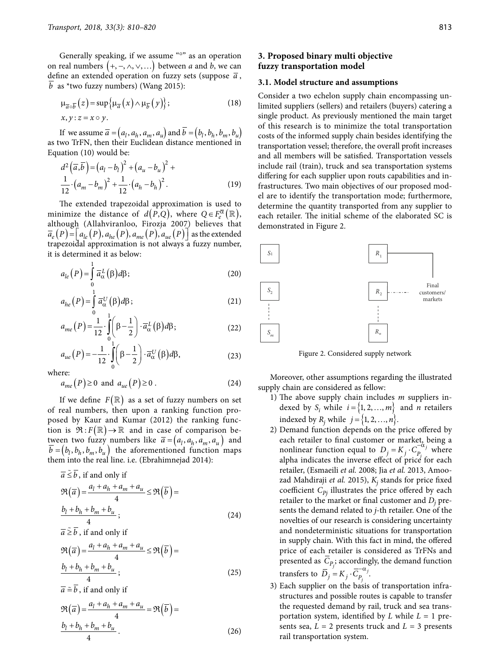Generally speaking, if we assume "°" as an operation on real numbers  $(+, -, \land, \lor, ...)$  between *a* and *b*, we can define an extended operation on fuzzy sets (suppose  $\bar{a}$ , *b* as \*two fuzzy numbers) (Wang 2015):

$$
\mu_{\overline{a}\circ\overline{b}}(z) = \sup \{ \mu_{\overline{a}}(x) \wedge \mu_{\overline{b}}(y) \};
$$
\n
$$
x, y: z = x \circ y.
$$
\n(18)

If we assume  $\overline{a} = (a_1, a_h, a_m, a_u)$  and  $\overline{b} = (b_1, b_h, b_m, b_u)$ as two TrFN, then their Euclidean distance mentioned in Equation (10) would be:

$$
d^{2}(\overline{a}, \overline{b}) = (a_{l} - b_{l})^{2} + (a_{u} - b_{u})^{2} +
$$
  

$$
\frac{1}{12} \cdot (a_{m} - b_{m})^{2} + \frac{1}{12} \cdot (a_{h} - b_{h})^{2}.
$$
 (19)

minimize the distance of  $d(P,Q)$ , where  $Q \in F_e^{\overline{\alpha}}(\mathbb{R})$ , The extended trapezoidal approximation is used to although (Allahviranloo, Firozja 2007) believes that  $\overline{a}_e(P) = [a_{le}(P), a_{he}(P), a_{me}(P), a_{ue}(P)]$  as the extended trapezoidal approximation is not always a fuzzy number, it is determined it as below:

$$
a_{le}(P) = \int_{0}^{1} \overline{a}_{\alpha}^{L}(\beta) d\beta;
$$
 (20)

$$
a_{he}(P) = \int_{0}^{1} \overline{a}_{\alpha}^{U}(\beta) d\beta ;
$$
 (21)

$$
a_{me}(P) = \frac{1}{12} \cdot \int_{0}^{1} \left(\beta - \frac{1}{2}\right) \cdot \overline{a}_{\alpha}^{L}(\beta) d\beta;
$$
 (22)

$$
a_{ue}(P) = -\frac{1}{12} \cdot \int_{0}^{1} \left(\beta - \frac{1}{2}\right) \cdot \overline{a}_{\alpha}^{U}\left(\beta\right) d\beta, \tag{23}
$$

where:

$$
a_{me}(P) \ge 0 \text{ and } a_{ue}(P) \ge 0. \tag{24}
$$

If we define  $F(\mathbb{R})$  as a set of fuzzy numbers on set of real numbers, then upon a ranking function proposed by Kaur and Kumar (2012) the ranking function is  $\mathfrak{R}: F(\mathbb{R}) \to \mathbb{R}$  and in case of comparison between two fuzzy numbers like  $\bar{a} = (a_l, a_h, a_m, a_u)$  and  $b = (b_l, b_h, b_m, b_u)$  the aforementioned function maps them into the real line. i.e. (Ebrahimnejad 2014):

$$
\overline{a} \leq \overline{b}, \text{ if and only if}
$$
  

$$
\Re(\overline{a}) = \frac{a_l + a_h + a_m + a_u}{4} \leq \Re(\overline{b}) =
$$
  

$$
\frac{b_l + b_h + b_m + b_u}{4};
$$
  

$$
\overline{a} \leq \overline{b} \text{ if and only if}
$$
 (24)

$$
u \geq v, \text{ if and only if}
$$
  

$$
\Re(\overline{a}) = \frac{a_l + a_h + a_m + a_u}{4} \leq \Re(\overline{b}) =
$$
  

$$
\frac{b_l + b_h + b_m + b_u}{4};
$$
 (25)

$$
\overline{a} \approx \overline{b}
$$
, if and only if  
\n
$$
\mathfrak{R}(\overline{a}) = \frac{a_1 + a_h + a_m + a_u}{4} = \mathfrak{R}(\overline{b}) = \frac{b_1 + b_h + b_m + b_u}{4}.
$$
\n(26)

#### **3. Proposed binary multi objective fuzzy transportation model**

#### **3.1. Model structure and assumptions**

Consider a two echelon supply chain encompassing unlimited suppliers (sellers) and retailers (buyers) catering a single product. As previously mentioned the main target of this research is to minimize the total transportation costs of the informed supply chain besides identifying the transportation vessel; therefore, the overall profit increases and all members will be satisfied. Transportation vessels include rail (train), truck and sea transportation systems differing for each supplier upon routs capabilities and infrastructures. Two main objectives of our proposed model are to identify the transportation mode; furthermore, determine the quantity transported from any supplier to each retailer. The initial scheme of the elaborated SC is demonstrated in Figure 2.



Figure 2. Considered supply network

Moreover, other assumptions regarding the illustrated supply chain are considered as fellow:

- 1) The above supply chain includes *m* suppliers indexed by  $S_i$  while  $i = \{1, 2, ..., m\}$  and *n* retailers indexed by  $R_j$  while  $j = \{1, 2, ..., n\}$ .
- 2) Demand function depends on the price offered by each retailer to final customer or market, being a nonlinear function equal to  $D_j = K_j \cdot C_{P_j}^{-\alpha_j}$  where nonlinear function equal to  $D_j = K_j \cdot C_{p_j}^{-\alpha_j}$  where alpha indicates the inverse effect of price for each retailer, (Esmaeili *et al.* 2008; Jia *et al.* 2013, Amoozad Mahdiraji *et al.* 2015), *Kj* stands for price fixed coefficient  $C_{Pj}$  illustrates the price offered by each retailer to the market or final customer and *Dj* presents the demand related to *j*-th retailer. One of the novelties of our research is considering uncertainty and nondeterministic situations for transportation in supply chain. With this fact in mind, the offered price of each retailer is considered as TrFNs and presented as *C*<sub>*p*</sub>; accordingly, the demand function transfers to  $\overline{D}_j = K_j \cdot \overline{C_p}^{\alpha_j}$ .
- 3) Each supplier on the basis of transportation infrastructures and possible routes is capable to transfer the requested demand by rail, truck and sea transportation system, identified by  $L$  while  $L = 1$  presents sea,  $L = 2$  presents truck and  $L = 3$  presents rail transportation system.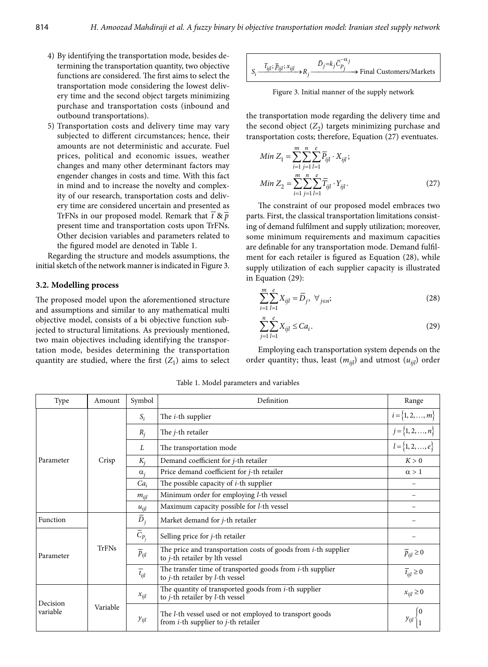- functions are considered. The first aims to select the 4) By identifying the transportation mode, besides determining the transportation quantity, two objective transportation mode considering the lowest delivery time and the second object targets minimizing purchase and transportation costs (inbound and outbound transportations).
- 5) Transportation costs and delivery time may vary subjected to different circumstances; hence, their amounts are not deterministic and accurate. Fuel prices, political and economic issues, weather changes and many other determinant factors may engender changes in costs and time. With this fact in mind and to increase the novelty and complexity of our research, transportation costs and delivery time are considered uncertain and presented as TrFNs in our proposed model. Remark that  $\bar{t} \& \bar{p}$ present time and transportation costs upon TrFNs. Other decision variables and parameters related to the figured model are denoted in Table 1.

Regarding the structure and models assumptions, the initial sketch of the network manner is indicated in Figure 3.

#### **3.2. Modelling process**

The proposed model upon the aforementioned structure and assumptions and similar to any mathematical multi objective model, consists of a bi objective function subjected to structural limitations. As previously mentioned, two main objectives including identifying the transportation mode, besides determining the transportation quantity are studied, where the first  $(Z_1)$  aims to select

$$
S_i \xrightarrow{\overline{t}_{ijl}; \overline{p}_{ijl}; x_{ijl}} R_j \xrightarrow{\overline{D}_j = k_j \overline{C}_{P_j}^{-\alpha_j}} \text{Final Customers/Markets}
$$

Figure 3. Initial manner of the supply network

the transportation mode regarding the delivery time and the second object  $(Z_2)$  targets minimizing purchase and transportation costs; therefore, Equation (27) eventuates.

Min 
$$
Z_1 = \sum_{i=1}^{m} \sum_{j=1}^{n} \sum_{l=1}^{e} \overline{P}_{ijl} \cdot X_{ijl}
$$
;  
\nMin  $Z_2 = \sum_{i=1}^{m} \sum_{j=1}^{n} \sum_{l=1}^{e} \overline{T}_{ijl} \cdot Y_{ijl}$ . (27)

The constraint of our proposed model embraces two parts. First, the classical transportation limitations consisting of demand fulfilment and supply utilization; moreover, some minimum requirements and maximum capacities are definable for any transportation mode. Demand fulfilment for each retailer is figured as Equation (28), while supply utilization of each supplier capacity is illustrated in Equation (29):

$$
\sum_{i=1}^{m} \sum_{l=1}^{e} X_{ijl} = \overline{D}_j, \ \forall_{j \in n};
$$
 (28)

$$
\sum_{j=1}^{n} \sum_{l=1}^{e} X_{ijl} \le Ca_i.
$$
 (29)

Employing each transportation system depends on the order quantity; thus, least  $(m_{ii})$  and utmost  $(u_{ii})$  order

| Type                 | Amount       | Symbol               | Definition                                                                                                      | Range                                                      |  |
|----------------------|--------------|----------------------|-----------------------------------------------------------------------------------------------------------------|------------------------------------------------------------|--|
| Parameter            | Crisp        | $S_i$                | The <i>i</i> -th supplier                                                                                       | $i = \{1, 2, , m\}$                                        |  |
|                      |              | $R_i$                | The $j$ -th retailer                                                                                            | $j = \{1, 2, , n\}$                                        |  |
|                      |              | L                    | The transportation mode                                                                                         | $l = \{1, 2, , e\}$                                        |  |
|                      |              | $K_i$                | Demand coefficient for j-th retailer                                                                            | K > 0                                                      |  |
|                      |              | $\alpha_i$           | Price demand coefficient for j-th retailer                                                                      | $\alpha > 1$                                               |  |
|                      |              | Ca <sub>i</sub>      | The possible capacity of $i$ -th supplier                                                                       |                                                            |  |
|                      |              | $m_{ijl}$            | Minimum order for employing <i>l</i> -th vessel                                                                 |                                                            |  |
|                      |              | $u_{ijl}$            | Maximum capacity possible for <i>l</i> -th vessel                                                               |                                                            |  |
| Function             |              | $\overline{D}_j$     | Market demand for <i>j</i> -th retailer                                                                         |                                                            |  |
|                      |              | $\overline{C}_{P_i}$ | Selling price for j-th retailer                                                                                 |                                                            |  |
| Parameter            | <b>TrFNs</b> | $\overline{p}_{ijl}$ | The price and transportation costs of goods from <i>i</i> -th supplier<br>to j-th retailer by lth vessel        | $\overline{p}_{ijl} \geq 0$<br>$\overline{t}_{ijl} \geq 0$ |  |
|                      |              | $\overline{t}_{ijl}$ | The transfer time of transported goods from <i>i</i> -th supplier<br>to $j$ -th retailer by $l$ -th vessel      |                                                            |  |
| Decision<br>variable |              | $x_{ijl}$            | The quantity of transported goods from <i>i</i> -th supplier<br>to <i>j</i> -th retailer by <i>l</i> -th vessel | $x_{ijl} \geq 0$                                           |  |
|                      | Variable     | $y_{ijl}$            | The l-th vessel used or not employed to transport goods<br>from $i$ -th supplier to $j$ -th retailer            | Yijl                                                       |  |

Table 1. Model parameters and variables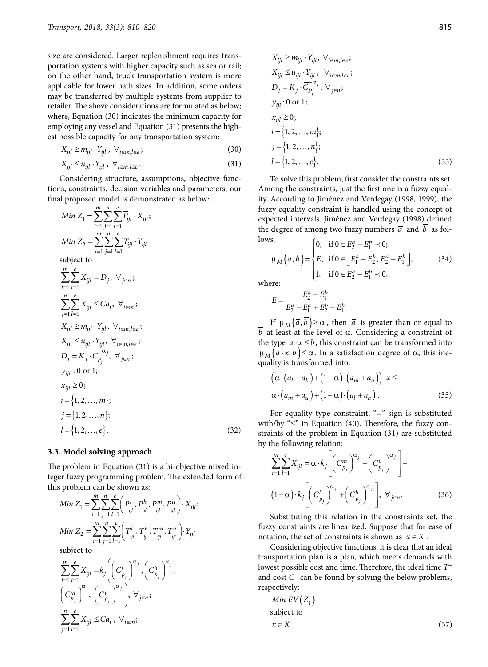size are considered. Larger replenishment requires transportation systems with higher capacity such as sea or rail; on the other hand, truck transportation system is more applicable for lower bath sizes. In addition, some orders may be transferred by multiple systems from supplier to retailer. The above considerations are formulated as below; where, Equation (30) indicates the minimum capacity for employing any vessel and Equation (31) presents the highest possible capacity for any transportation system:

$$
X_{ijl} \ge m_{ijl} \cdot Y_{ijl} , \ \forall_{i \in m, l \in e} ; \tag{30}
$$

$$
X_{ijl} \le u_{ijl} \cdot Y_{ijl} , \ \forall_{i \in m, l \in e} . \tag{31}
$$

Considering structure, assumptions, objective functions, constraints, decision variables and parameters, our final proposed model is demonstrated as below:

Min 
$$
Z_1 = \sum_{i=1}^{m} \sum_{j=1}^{n} \sum_{l=1}^{e} \overline{P}_{ijl} \cdot X_{ijl}
$$
;  
\nMin  $Z_2 = \sum_{i=1}^{m} \sum_{j=1}^{n} \sum_{l=1}^{e} \overline{T}_{ijl} \cdot Y_{ijl}$   
\nsubject to  
\n
$$
\sum_{i=1}^{m} \sum_{l=1}^{e} X_{ijl} = \overline{D}_j, \forall_{j \in n} ;
$$
\n
$$
\sum_{j=1}^{n} \sum_{l=1}^{e} X_{ijl} \leq C a_i, \forall_{i \in m} ;
$$
\n
$$
X_{ijl} \geq m_{ijl} \cdot Y_{ijl}, \forall_{i \in m, l \in e} ;
$$
\n
$$
\overline{D}_j = K_j \cdot \overline{C}_{P_j}^{-\alpha_j}, \forall_{j \in n} ;
$$
\n
$$
y_{ijl} : 0 \text{ or } 1 ;
$$
\n
$$
x_{ijl} \geq 0 ;
$$
\n
$$
i = \{1, 2, ..., m\};
$$
\n
$$
l = \{1, 2, ..., n\};
$$
\n
$$
l = \{1, 2, ..., n\};
$$
\n(32)

#### **3.3. Model solving approach**

The problem in Equation (31) is a bi-objective mixed integer fuzzy programming problem. The extended form of this problem can be shown as:

Min 
$$
Z_1 = \sum_{i=1}^{m} \sum_{j=1}^{n} \sum_{l=1}^{e} \left( P_{ijl}^l, P_{ijl}^h, P_{ijl}^m, P_{ijl}^u \right) \cdot X_{ijl};
$$
  
\nMin  $Z_2 = \sum_{i=1}^{m} \sum_{j=1}^{n} \sum_{l=1}^{e} \left( T_{ijl}^l, T_{ijl}^h, T_{ijl}^m, T_{ijl}^u \right) \cdot Y_{ijl}$ 

subject to

$$
\sum_{i=1}^{m} \sum_{l=1}^{e} X_{ijl} = k_j \left( \left( C_{p_j}^l \right)^{\alpha_j}, \left( C_{p_j}^h \right)^{\alpha_j}, \left( C_{p_j}^h \right)^{\alpha_j}, \left( C_{p_j}^w \right)^{\alpha_j}, \left( C_{p_j}^u \right)^{\alpha_j}, \forall_{j \in n};
$$
\n
$$
\sum_{j=1}^{n} \sum_{l=1}^{e} X_{ijl} \leq Ca_i, \forall_{i \in m};
$$

$$
X_{ijl} \ge m_{ijl} \cdot Y_{ijl}, \forall_{i \in m, l \in e};
$$
  
\n
$$
X_{ijl} \le u_{ijl} \cdot Y_{ijl}, \forall_{i \in m, l \in e};
$$
  
\n
$$
\overline{D}_j = K_j \cdot \overline{C}_{P_j}^{-\alpha_j}, \forall_{j \in n};
$$
  
\n
$$
y_{ijl} : 0 \text{ or } 1;
$$
  
\n
$$
x_{ijl} \ge 0;
$$
  
\n
$$
i = \{1, 2, ..., m\};
$$
  
\n
$$
j = \{1, 2, ..., n\};
$$
  
\n
$$
l = \{1, 2, ..., e\}.
$$
  
\n(33)

To solve this problem, first consider the constraints set. Among the constraints, just the first one is a fuzzy equality. According to Jiménez and Verdegay (1998, 1999), the fuzzy equality constraint is handled using the concept of expected intervals. Jiménez and Verdegay (1998) defined the degree of among two fuzzy numbers  $\overline{a}$  and  $\overline{b}$  as fol-

lows:  
\n
$$
\mu_M(\overline{a}, \overline{b}) = \begin{cases}\n0, & \text{if } 0 \in E_2^a - E_1^b \prec 0; \\
E, & \text{if } 0 \in \left[E_1^a - E_2^b, E_2^a - E_1^b\right], \\
1, & \text{if } 0 \in E_2^a - E_1^b \prec 0,\n\end{cases}
$$
\n(34)

where:

 $Mi$ 

$$
E = \frac{E_2^a - E_1^b}{E_2^a - E_1^a + E_2^b - E_1^b}.
$$

If  $\mu_M(\overline{a}, b) \ge \alpha$ , then  $\overline{a}$  is greater than or equal to *b* at least at the level of  $\alpha$ . Considering a constraint of the type  $\overline{a} \cdot x \leq b$ , this constraint can be transformed into  $\mu_M(\overline{a} \cdot x, \overline{b}) \leq \alpha$ . In a satisfaction degree of  $\alpha$ , this inequality is transformed into:

$$
\left(\alpha \cdot (a_1 + a_h) + (1 - \alpha) \cdot (a_m + a_u)\right) \cdot x \le \alpha \cdot (a_m + a_u) + (1 - \alpha) \cdot (a_1 + a_h). \tag{35}
$$

For equality type constraint,  $4\pi$  sign is substituted with/by " $\leq$ " in Equation (40). Therefore, the fuzzy constraints of the problem in Equation (31) are substituted by the following relation:

$$
\sum_{i=1}^{m} \sum_{l=1}^{e} X_{ijl} = \alpha \cdot k_j \left[ \left( C_{p_j}^m \right)^{\alpha_j} + \left( C_{p_j}^u \right)^{\alpha_j} \right] +
$$
  

$$
(1-\alpha) \cdot k_j \left[ \left( C_{p_j}^l \right)^{\alpha_j} + \left( C_{p_j}^h \right)^{\alpha_j} \right]; \ \forall_{j \in n}.
$$
 (36)

Substituting this relation in the constraints set, the fuzzy constraints are linearized. Suppose that for ease of notation, the set of constraints is shown as  $x \in X$ .

Considering objective functions, it is clear that an ideal transportation plan is a plan, which meets demands with lowest possible cost and time. Therefore, the ideal time *T*<sup>+</sup> and cost *C*+ can be found by solving the below problems, respectively:

Min 
$$
EV(Z_1)
$$
  
subject to  
 $x \in X$  (37)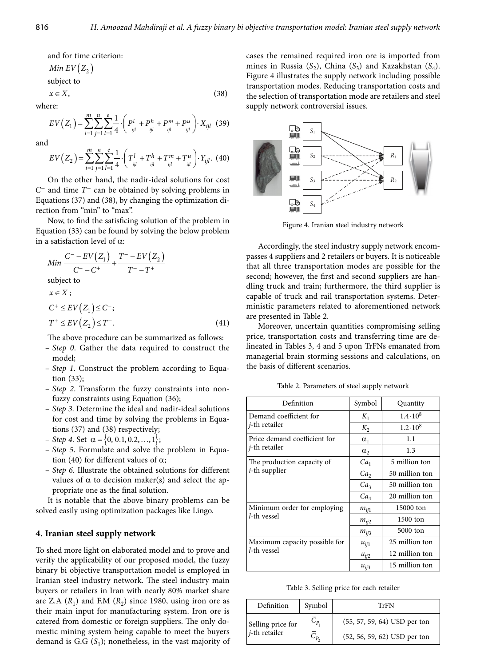and for time criterion:

Min 
$$
EV(Z_2)
$$
 subject to

$$
x \in X,\tag{38}
$$

where:

$$
EV(Z_1) = \sum_{i=1}^{m} \sum_{j=1}^{n} \sum_{l=1}^{e} \frac{1}{4} \cdot \left( P_{ijl}^{l} + P_{ijl}^{h} + P_{ijl}^{m} + P_{ijl}^{u} \right) \cdot X_{ijl} \tag{39}
$$

and  
\n
$$
EV(Z_2) = \sum_{i=1}^{m} \sum_{j=1}^{n} \sum_{l=1}^{e} \frac{1}{4} \cdot \left( T_{ijl}^l + T_{ijl}^h + T_{ijl}^m + T_{ijl}^u \right) \cdot Y_{ijl}.
$$
\n(40)

On the other hand, the nadir-ideal solutions for cost *C*− and time *T*− can be obtained by solving problems in Equations (37) and (38), by changing the optimization direction from "min" to "max".

Now, to find the satisficing solution of the problem in Equation (33) can be found by solving the below problem in a satisfaction level of  $\alpha$ :

Min 
$$
\frac{C^- - EV(Z_1)}{C^- - C^+} + \frac{T^- - EV(Z_2)}{T^- - T^+}
$$
\nsubject to\n
$$
x \in X ;
$$
\n
$$
C^+ \leq EV(Z_1) \leq C^- ;
$$

$$
T^+ \le EV(Z_2) \le T^-.
$$
\n(41)

The above procedure can be summarized as follows:

- *Step 0*. Gather the data required to construct the model;
- *Step 1*. Construct the problem according to Equation (33);
- *Step 2*. Transform the fuzzy constraints into nonfuzzy constraints using Equation (36);
- *Step 3*. Determine the ideal and nadir-ideal solutions for cost and time by solving the problems in Equations (37) and (38) respectively;
- $-$  *Step 4*. Set  $\alpha = \{0, 0.1, 0.2, ..., 1\};$
- *Step 5*. Formulate and solve the problem in Equation (40) for different values of  $α$ ;
- *Step 6*. Illustrate the obtained solutions for different values of  $\alpha$  to decision maker(s) and select the appropriate one as the final solution.

It is notable that the above binary problems can be solved easily using optimization packages like Lingo.

### **4. Iranian steel supply network**

To shed more light on elaborated model and to prove and verify the applicability of our proposed model, the fuzzy binary bi objective transportation model is employed in Iranian steel industry network. The steel industry main buyers or retailers in Iran with nearly 80% market share are Z.A  $(R_1)$  and F.M  $(R_2)$  since 1980, using iron ore as their main input for manufacturing system. Iron ore is catered from domestic or foreign suppliers. The only domestic mining system being capable to meet the buyers demand is G.G  $(S_1)$ ; nonetheless, in the vast majority of cases the remained required iron ore is imported from mines in Russia  $(S_2)$ , China  $(S_3)$  and Kazakhstan  $(S_4)$ . Figure 4 illustrates the supply network including possible transportation modes. Reducing transportation costs and the selection of transportation mode are retailers and steel supply network controversial issues.



Figure 4. Iranian steel industry network

Accordingly, the steel industry supply network encompasses 4 suppliers and 2 retailers or buyers. It is noticeable that all three transportation modes are possible for the second; however, the first and second suppliers are handling truck and train; furthermore, the third supplier is capable of truck and rail transportation systems. Deterministic parameters related to aforementioned network are presented in Table 2.

Moreover, uncertain quantities compromising selling price, transportation costs and transferring time are delineated in Tables 3, 4 and 5 upon TrFNs emanated from managerial brain storming sessions and calculations, on the basis of different scenarios.

Table 2. Parameters of steel supply network

| Definition                    | Symbol               | Quantity         |
|-------------------------------|----------------------|------------------|
| Demand coefficient for        | $K_1$                | $1.4 \cdot 10^8$ |
| $j$ -th retailer              | $K_{2}$              | $1.2 \cdot 10^8$ |
| Price demand coefficient for  | $\alpha_1$           | 1.1              |
| <i>j</i> -th retailer         | $\alpha_2$           | 1.3              |
| The production capacity of    | Ca <sub>1</sub>      | 5 million ton    |
| $i$ -th supplier              | Ca,                  | 50 million ton   |
|                               | Ca <sub>3</sub>      | 50 million ton   |
|                               | Ca <sub>4</sub>      | 20 million ton   |
| Minimum order for employing   | $m_{ii1}$            | 15000 ton        |
| l-th vessel                   | $m_{i\bar{\jmath}2}$ | 1500 ton         |
|                               | $m_{ii3}$            | 5000 ton         |
| Maximum capacity possible for | $u_{ij1}$            | 25 million ton   |
| l-th vessel                   | $u_{ii2}$            | 12 million ton   |
|                               | $u_{ii3}$            | 15 million ton   |

Table 3. Selling price for each retailer

| Definition        | Symbol         | TrFN                           |
|-------------------|----------------|--------------------------------|
| Selling price for | $\mathsf{C}_p$ | $(55, 57, 59, 64)$ USD per ton |
| $j$ -th retailer  | $C_{P_2}$      | $(52, 56, 59, 62)$ USD per ton |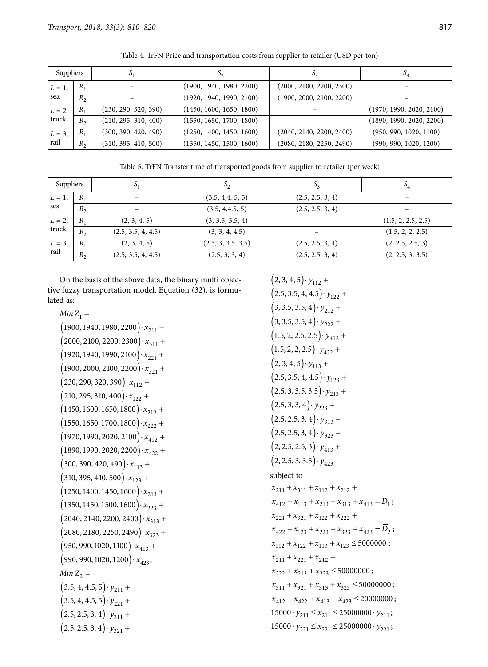| Suppliers |       | S.                   | $\mathcal{D}_2$          | $S_3$                    | $S_4$                    |
|-----------|-------|----------------------|--------------------------|--------------------------|--------------------------|
| $L=1$ ,   | $R_1$ |                      | (1900, 1940, 1980, 2200) | (2000, 2100, 2200, 2300) |                          |
| sea       | $R_2$ |                      | (1920, 1940, 1990, 2100) | (1900, 2000, 2100, 2200) |                          |
| $L = 2$ , | $R_1$ | (230, 290, 320, 390) | (1450, 1600, 1650, 1800) |                          | (1970, 1990, 2020, 2100) |
| truck     | $R_2$ | (210, 295, 310, 400) | (1550, 1650, 1700, 1800) |                          | (1890, 1990, 2020, 2200) |
| $L = 3$ , | $R_1$ | (300, 390, 420, 490) | (1250, 1400, 1450, 1600) | (2040, 2140, 2200, 2400) | (950, 990, 1020, 1100)   |
| rail      | $R_2$ | (310, 395, 410, 500) | (1350, 1450, 1500, 1600) | (2080, 2180, 2250, 2490) | (990, 990, 1020, 1200)   |

Table 4. TrFN Price and transportation costs from supplier to retailer (USD per ton)

Table 5. TrFN Transfer time of transported goods from supplier to retailer (per week)

| Suppliers |                | $S_1$              | $S_2$              | $S_3$            | $S_4$              |
|-----------|----------------|--------------------|--------------------|------------------|--------------------|
| $L=1$ ,   | $R_1$          | $\qquad \qquad -$  | (3.5, 4.4, 5, 5)   | (2.5, 2.5, 3, 4) |                    |
| sea       | $R_2$          |                    | (3.5, 4, 4.5, 5)   | (2.5, 2.5, 3, 4) |                    |
| $L=2$ ,   | $R_1$          | (2, 3, 4, 5)       | (3, 3.5, 3.5, 4)   |                  | (1.5, 2, 2.5, 2.5) |
| truck     | $R_2$          | (2.5, 3.5, 4, 4.5) | (3, 3, 4, 4.5)     |                  | (1.5, 2, 2, 2.5)   |
| $L = 3$ , | $R_1$          | (2, 3, 4, 5)       | (2.5, 3, 3.5, 3.5) | (2.5, 2.5, 3, 4) | (2, 2.5, 2.5, 3)   |
| rail      | R <sub>2</sub> | (2.5, 3.5, 4, 4.5) | (2.5, 3, 3, 4)     | (2.5, 2.5, 3, 4) | (2, 2.5, 3, 3.5)   |

On the basis of the above data, the binary multi objective fuzzy transportation model, Equation (32), is formulated as:

 $Min Z_1 =$ 

$$
(1900, 1940, 1980, 2200) \cdot x_{211} + (2000, 2100, 2200, 2300) \cdot x_{311} + (1920, 1940, 1990, 2100) \cdot x_{221} + (1900, 2000, 2100, 2200) \cdot x_{321} + (230, 290, 320, 390) \cdot x_{112} + (210, 295, 310, 400) \cdot x_{122} + (1450, 1600, 1650, 1800) \cdot x_{212} + (1550, 1650, 1700, 1800) \cdot x_{222} + (1970, 1990, 2020, 2100) \cdot x_{412} + (1890, 1990, 2020, 2200) \cdot x_{422} + (300, 390, 420, 490) \cdot x_{113} + (310, 395, 410, 500) \cdot x_{123} + (1250, 1400, 1450, 1600) \cdot x_{213} + (1350, 1450, 1500, 1600) \cdot x_{213} + (2040, 2140, 2200, 2400) \cdot x_{313} + (2080, 2180, 2250, 2490) \cdot x_{313} + (990, 990, 1020, 1100) \cdot x_{413} + (990, 990, 1020, 1200) \cdot x_{423};
$$
  
\n*Min*  $Z_2$  =  
\n
$$
(3.5, 4, 4.5, 5) \cdot y_{211} + (3.5, 4, 4.5, 5) \cdot y_{211} + (2.5, 2.5, 3, 4) \cdot y_{311} + (2.5, 2.5, 3, 4) \cdot y_{311} + (2.5, 2.5, 3, 4) \cdot y_{311} + (2.5, 2.5, 3, 4) \cdot y_{311} + (2.5, 2
$$

 $(2, 3, 4, 5) \cdot y_{112} +$  $(2.5, 3.5, 4, 4.5) \cdot y_{122} +$  $(3, 3.5, 3.5, 4) \cdot y_{212} +$  $(3, 3.5, 3.5, 4) \cdot y_{222} +$  $(1.5, 2, 2.5, 2.5) \cdot y_{412} +$  $(1.5, 2, 2, 2.5) \cdot y_{422} +$  $(2, 3, 4, 5) \cdot y_{113} +$  $(2.5, 3.5, 4, 4.5) \cdot y_{123} +$  $(2.5, 3, 3.5, 3.5) \cdot y_{213} +$  $(2.5, 3, 3, 4) \cdot y_{223} +$  $(2.5, 2.5, 3, 4) \cdot y_{313} +$  $(2.5, 2.5, 3, 4) \cdot y_{323} +$  $(2, 2.5, 2.5, 3) \cdot y_{413} +$  $(2, 2.5, 3, 3.5) \cdot y_{423}$ subject to  $x_{211} + x_{311} + x_{112} + x_{212} +$  $x_{412} + x_{113} + x_{213} + x_{313} + x_{413} = \overline{D}_1;$  $x_{221} + x_{321} + x_{122} + x_{222} +$  $x_{422} + x_{123} + x_{223} + x_{323} + x_{423} = \overline{D}_2;$  $x_{112} + x_{122} + x_{113} + x_{123} \le 5000000$ ;  $x_{211} + x_{221} + x_{212} +$  $x_{222} + x_{213} + x_{223} \le 50000000$ ;  $x_{311} + x_{321} + x_{313} + x_{323} \le 50000000$ ;  $x_{412} + x_{422} + x_{413} + x_{423} \le 20000000$ ;  $15000 \cdot y_{211} \le x_{211} \le 25000000 \cdot y_{211}$ ;  $15000 \cdot y_{221} \le x_{221} \le 25000000 \cdot y_{221}$ ;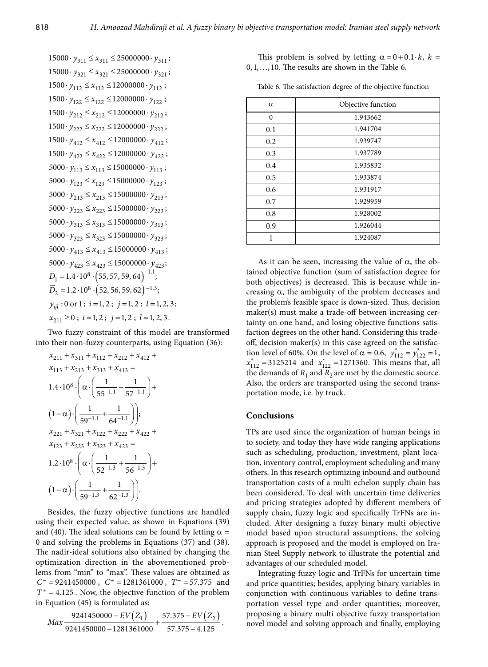$$
15000 \cdot y_{311} \le x_{311} \le 25000000 \cdot y_{311};
$$
  
\n
$$
15000 \cdot y_{321} \le x_{321} \le 25000000 \cdot y_{321};
$$
  
\n
$$
1500 \cdot y_{112} \le x_{112} \le 12000000 \cdot y_{112};
$$
  
\n
$$
1500 \cdot y_{122} \le x_{122} \le 12000000 \cdot y_{112};
$$
  
\n
$$
1500 \cdot y_{212} \le x_{212} \le 12000000 \cdot y_{212};
$$
  
\n
$$
1500 \cdot y_{212} \le x_{212} \le 12000000 \cdot y_{212};
$$
  
\n
$$
1500 \cdot y_{222} \le x_{222} \le 12000000 \cdot y_{212};
$$
  
\n
$$
1500 \cdot y_{412} \le x_{412} \le 12000000 \cdot y_{412};
$$
  
\n
$$
1500 \cdot y_{422} \le x_{422} \le 12000000 \cdot y_{422};
$$
  
\n
$$
5000 \cdot y_{113} \le x_{113} \le 15000000 \cdot y_{113};
$$
  
\n
$$
5000 \cdot y_{213} \le x_{213} \le 15000000 \cdot y_{213};
$$
  
\n
$$
5000 \cdot y_{223} \le x_{223} \le 15000000 \cdot y_{213};
$$
  
\n
$$
5000 \cdot y_{313} \le x_{313} \le 15000000 \cdot y_{313};
$$
  
\n
$$
5000 \cdot y_{323} \le x_{323} \le 15000000 \cdot y_{313};
$$
  
\n
$$
5000 \cdot y_{423} \le x_{413} \le 15000000 \cdot y_{413};
$$

Two fuzzy constraint of this model are transformed into their non-fuzzy counterparts, using Equation (36):

$$
x_{211} + x_{311} + x_{112} + x_{212} + x_{412} +x_{113} + x_{213} + x_{313} + x_{413} =1.4 \cdot 108 \cdot \left( \alpha \cdot \left( \frac{1}{55^{-1.1}} + \frac{1}{57^{-1.1}} \right) +(1-\alpha) \cdot \left( \frac{1}{59^{-1.1}} + \frac{1}{64^{-1.1}} \right) \right);x_{221} + x_{321} + x_{122} + x_{222} + x_{422} +x_{123} + x_{223} + x_{323} + x_{423} =1.2 \cdot 108 \cdot \left( \alpha \cdot \left( \frac{1}{52^{-1.3}} + \frac{1}{56^{-1.3}} \right) +(1-\alpha) \cdot \left( \frac{1}{59^{-1.3}} + \frac{1}{62^{-1.3}} \right) \right).
$$

Besides, the fuzzy objective functions are handled using their expected value, as shown in Equations (39) and (40). The ideal solutions can be found by letting  $\alpha$  = 0 and solving the problems in Equations (37) and (38). The nadir-ideal solutions also obtained by changing the optimization direction in the abovementioned problems from "min" to "max". These values are obtained as *C*<sup>−</sup> = 9241450000 , *C*<sup>+</sup> =1281361000 , *T*<sup>−</sup> = 57.375 and  $T^+ = 4.125$ . Now, the objective function of the problem in Equation (45) is formulated as:

$$
Max \frac{9241450000 - EV(Z_1)}{9241450000 - 1281361000} + \frac{57.375 - EV(Z_2)}{57.375 - 4.125}.
$$

This problem is solved by letting  $\alpha = 0 + 0.1 \cdot k$ ,  $k =$ 0,1,…,10. The results are shown in the Table 6.

| Table 6. The satisfaction degree of the objective function |  |  |  |
|------------------------------------------------------------|--|--|--|
|------------------------------------------------------------|--|--|--|

| $\alpha$ | Objective function |
|----------|--------------------|
| $\theta$ | 1.943662           |
| 0.1      | 1.941704           |
| 0.2      | 1.939747           |
| 0.3      | 1.937789           |
| 0.4      | 1.935832           |
| 0.5      | 1.933874           |
| 0.6      | 1.931917           |
| 0.7      | 1.929959           |
| 0.8      | 1.928002           |
| 0.9      | 1.926044           |
| 1        | 1.924087           |

the demands of  $R_1$  and  $R_2$  are met by the domestic source. As it can be seen, increasing the value of  $\alpha$ , the obtained objective function (sum of satisfaction degree for both objectives) is decreased. This is because while increasing  $α$ , the ambiguity of the problem decreases and the problem's feasible space is down-sized. Thus, decision maker(s) must make a trade-off between increasing certainty on one hand, and losing objective functions satisfaction degrees on the other hand. Considering this tradeoff, decision maker(s) in this case agreed on the satisfac tion level of 60%. On the level of α = 0.6,  $y_{112}^* = y_{122}^* = 1$ ,  $x_{112}^* = 3125214$  and  $x_{122}^* = 1271360$ . This means that, all Also, the orders are transported using the second transportation mode, i.e. by truck.

#### **Conclusions**

TPs are used since the organization of human beings in to society, and today they have wide ranging applications such as scheduling, production, investment, plant location, inventory control, employment scheduling and many others. In this research optimizing inbound and outbound transportation costs of a multi echelon supply chain has been considered. To deal with uncertain time deliveries and pricing strategies adopted by different members of supply chain, fuzzy logic and specifically TrFNs are included. After designing a fuzzy binary multi objective model based upon structural assumptions, the solving approach is proposed and the model is employed on Iranian Steel Supply network to illustrate the potential and advantages of our scheduled model.

Integrating fuzzy logic and TrFNs for uncertain time and price quantities; besides, applying binary variables in conjunction with continuous variables to define transportation vessel type and order quantities; moreover, proposing a binary multi objective fuzzy transportation novel model and solving approach and finally, employing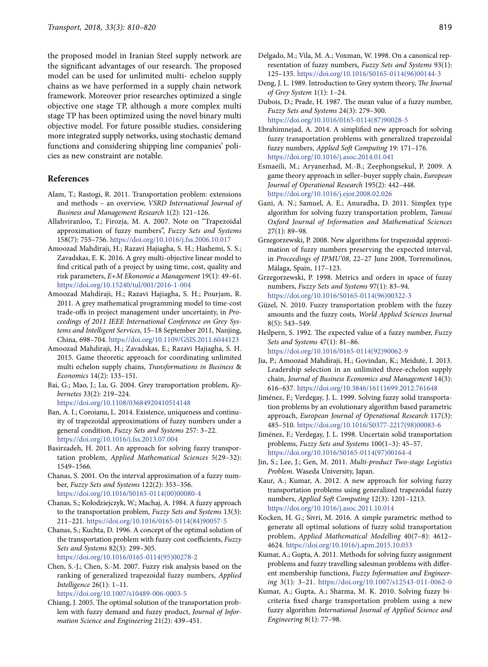the proposed model in Iranian Steel supply network are the significant advantages of our research. The proposed model can be used for unlimited multi- echelon supply chains as we have performed in a supply chain network framework. Moreover prior researches optimized a single objective one stage TP, although a more complex multi stage TP has been optimized using the novel binary multi objective model. For future possible studies, considering more integrated supply networks, using stochastic demand functions and considering shipping line companies' policies as new constraint are notable.

#### **References**

- Alam, T.; Rastogi, R. 2011. Transportation problem: extensions and methods – an overview, *VSRD International Journal of Business and Management Research* 1(2): 121–126.
- Allahviranloo, T.; Firozja, M. A. 2007. Note on "Trapezoidal approximation of fuzzy numbers", *Fuzzy Sets and Systems*  158(7): 755–756. <https://doi.org/10.1016/j.fss.2006.10.017>
- Amoozad Mahdiraji, H.; Razavi Hajiagha, S. H.; Hashemi, S. S.; Zavadskas, E. K. 2016. A grey multi-objective linear model to find critical path of a project by using time, cost, quality and risk parameters, *E+M Ekonomie a Management* 19(1): 49–61. <https://doi.org/10.15240/tul/001/2016-1-004>
- Amoozad Mahdiraji, H.; Razavi Hajiagha, S. H.; Pourjam, R. 2011. A grey mathematical programming model to time-cost trade-offs in project management under uncertainty, in *Proceedings of 2011 IEEE International Conference on Grey Systems and Intelligent Services*, 15–18 September 2011, Nanjing, China, 698–704. <https://doi.org/10.1109/GSIS.2011.6044123>
- Amoozad Mahdiraji, H.; Zavadskas, E.; Razavi Hajiagha, S. H. 2015. Game theoretic approach for coordinating unlimited multi echelon supply chains, *Transformations in Business* & *Economics* 14(2): 133–151.
- Bai, G.; Mao, J.; Lu, G. 2004. Grey transportation problem, *Kybernetes* 33(2): 219–224.

<https://doi.org/10.1108/03684920410514148>

- Ban, A. I.; Coroianu, L. 2014. Existence, uniqueness and continuity of trapezoidal approximations of fuzzy numbers under a general condition, *Fuzzy Sets and Systems* 257: 3–22. <https://doi.org/10.1016/j.fss.2013.07.004>
- Basirzadeh, H. 2011. An approach for solving fuzzy transportation problem, *Applied Mathematical Sciences* 5(29–32): 1549–1566.

Chanas, S. 2001. On the interval approximation of a fuzzy number, *Fuzzy Sets and Systems* 122(2): 353–356. [https://doi.org/10.1016/S0165-0114\(00\)00080-4](https://doi.org/10.1016/S0165-0114(00)00080-4) 

- Chanas, S.; Kołodziejczyk, W.; Machaj, A. 1984. A fuzzy approach to the transportation problem, *Fuzzy Sets and Systems* 13(3): 211–221. [https://doi.org/10.1016/0165-0114\(84\)90057-5](https://doi.org/10.1016/0165-0114(84)90057-5)
- Chanas, S.; Kuchta, D. 1996. A concept of the optimal solution of the transportation problem with fuzzy cost coefficients, *Fuzzy Sets and Systems* 82(3): 299–305.

[https://doi.org/10.1016/0165-0114\(95\)00278-2](https://doi.org/10.1016/0165-0114(95)00278-2)

Chen, S.-J.; Chen, S.-M. 2007. Fuzzy risk analysis based on the ranking of generalized trapezoidal fuzzy numbers, *Applied Intelligence* 26(1): 1–11.

<https://doi.org/10.1007/s10489-006-0003-5>

Chiang, J. 2005. The optimal solution of the transportation problem with fuzzy demand and fuzzy product, *Journal of Information Science and Engineering* 21(2): 439–451.

- Delgado, M.; Vila, M. A.; Voxman, W. 1998. On a canonical representation of fuzzy numbers, *Fuzzy Sets and Systems* 93(1): 125–135. [https://doi.org/10.1016/S0165-0114\(96\)00144-3](https://doi.org/10.1016/S0165-0114(96)00144-3)
- Deng, J. L. 1989. Introduction to Grey system theory, *The Journal of Grey System* 1(1): 1–24.
- Dubois, D.; Prade, H. 1987. The mean value of a fuzzy number, *Fuzzy Sets and Systems* 24(3): 279–300. [https://doi.org/10.1016/0165-0114\(87\)90028-5](https://doi.org/10.1016/0165-0114(87)90028-5)
- Ebrahimnejad, A. 2014. A simplified new approach for solving fuzzy transportation problems with generalized trapezoidal fuzzy numbers, *Applied Soft Computing* 19: 171–176. <https://doi.org/10.1016/j.asoc.2014.01.041>
- Esmaeili, M.; Aryanezhad, M.-B.; Zeephongsekul, P. 2009. A game theory approach in seller–buyer supply chain, *European Journal of Operational Research* 195(2): 442–448. <https://doi.org/10.1016/j.ejor.2008.02.026>
- Gani, A. N.; Samuel, A. E.; Anuradha, D. 2011. Simplex type algorithm for solving fuzzy transportation problem, *Tamsui Oxford Journal of Information and Mathematical Sciences*  27(1): 89–98.
- Grzegorzewski, P. 2008. New algorithms for trapezoidal approximation of fuzzy numbers preserving the expected interval, in *Proceedings of IPMU'08*, 22–27 June 2008, Torremolinos, Málaga, Spain, 117–123.
- Grzegorzewski, P. 1998. Metrics and orders in space of fuzzy numbers, *Fuzzy Sets and Systems* 97(1): 83–94. [https://doi.org/10.1016/S0165-0114\(96\)00322-3](https://doi.org/10.1016/S0165-0114(96)00322-3)
- Güzel, N. 2010. Fuzzy transportation problem with the fuzzy amounts and the fuzzy costs, *World Applied Sciences Journal*  8(5): 543–549.
- Heilpern, S. 1992. The expected value of a fuzzy number, *Fuzzy Sets and Systems* 47(1): 81–86. [https://doi.org/10.1016/0165-0114\(92\)90062-9](https://doi.org/10.1016/0165-0114(92)90062-9)
- Jia, P.; Amoozad Mahdiraji, H.; Govindan, K.; Meidutė, I. 2013. Leadership selection in an unlimited three-echelon supply chain, *Journal of Business Economics and Management* 14(3): 616–637. <https://doi.org/10.3846/16111699.2012.761648>
- approach, *European Journal of Operational Research* 117(3): Jiménez, F.; Verdegay, J. L. 1999. Solving fuzzy solid transportation problems by an evolutionary algorithm based parametric 485–510. [https://doi.org/10.1016/S0377-2217\(98\)00083-6](https://doi.org/10.1016/S0377-2217(98)00083-6)
- Jiménez, F.; Verdegay, J. L. 1998. Uncertain solid transportation problems, *Fuzzy Sets and Systems* 100(1–3): 45–57. [https://doi.org/10.1016/S0165-0114\(97\)00164-4](https://doi.org/10.1016/S0165-0114(97)00164-4)
- Jin, S.; Lee, J.; Gen, M. 2011. *Multi-product Two-stage Logistics Problem*. Waseda University, Japan.
- Kaur, A.; Kumar, A. 2012. A new approach for solving fuzzy transportation problems using generalized trapezoidal fuzzy numbers, *Applied Soft Computing* 12(3): 1201–1213. <https://doi.org/10.1016/j.asoc.2011.10.014>
- Kocken, H. G.; Sivri, M. 2016. A simple parametric method to generate all optimal solutions of fuzzy solid transportation problem, *Applied Mathematical Modelling* 40(7–8): 4612– 4624. <https://doi.org/10.1016/j.apm.2015.10.053>
- Kumar, A.; Gupta, A. 2011. Methods for solving fuzzy assignment problems and fuzzy travelling salesman problems with different membership functions, *Fuzzy Information and Engineering* 3(1): 3–21. <https://doi.org/10.1007/s12543-011-0062-0>
- Kumar, A.; Gupta, A.; Sharma, M. K. 2010. Solving fuzzy bicriteria fixed charge transportation problem using a new fuzzy algorithm *International Journal of Applied Science and Engineering* 8(1): 77–98.